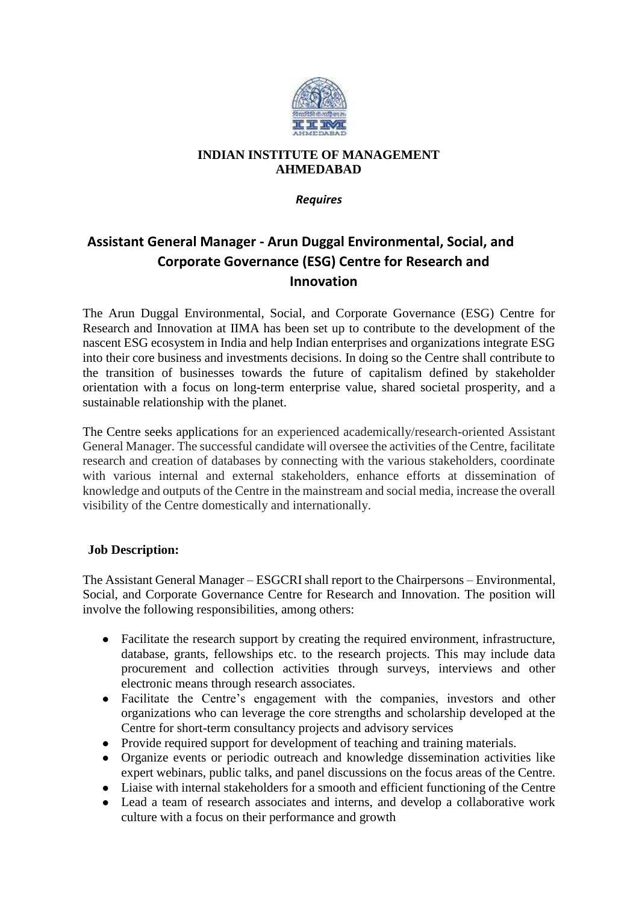

## **INDIAN INSTITUTE OF MANAGEMENT AHMEDABAD**

*Requires*

## **Assistant General Manager - Arun Duggal Environmental, Social, and Corporate Governance (ESG) Centre for Research and Innovation**

The Arun Duggal Environmental, Social, and Corporate Governance (ESG) Centre for Research and Innovation at IIMA has been set up to contribute to the development of the nascent ESG ecosystem in India and help Indian enterprises and organizations integrate ESG into their core business and investments decisions. In doing so the Centre shall contribute to the transition of businesses towards the future of capitalism defined by stakeholder orientation with a focus on long-term enterprise value, shared societal prosperity, and a sustainable relationship with the planet.

The Centre seeks applications for an experienced academically/research-oriented Assistant General Manager. The successful candidate will oversee the activities of the Centre, facilitate research and creation of databases by connecting with the various stakeholders, coordinate with various internal and external stakeholders, enhance efforts at dissemination of knowledge and outputs of the Centre in the mainstream and social media, increase the overall visibility of the Centre domestically and internationally.

## **Job Description:**

The Assistant General Manager – ESGCRI shall report to the Chairpersons – Environmental, Social, and Corporate Governance Centre for Research and Innovation. The position will involve the following responsibilities, among others:

- Facilitate the research support by creating the required environment, infrastructure, database, grants, fellowships etc. to the research projects. This may include data procurement and collection activities through surveys, interviews and other electronic means through research associates.
- Facilitate the Centre's engagement with the companies, investors and other organizations who can leverage the core strengths and scholarship developed at the Centre for short-term consultancy projects and advisory services
- Provide required support for development of teaching and training materials.
- Organize events or periodic outreach and knowledge dissemination activities like expert webinars, public talks, and panel discussions on the focus areas of the Centre.
- Liaise with internal stakeholders for a smooth and efficient functioning of the Centre
- Lead a team of research associates and interns, and develop a collaborative work culture with a focus on their performance and growth